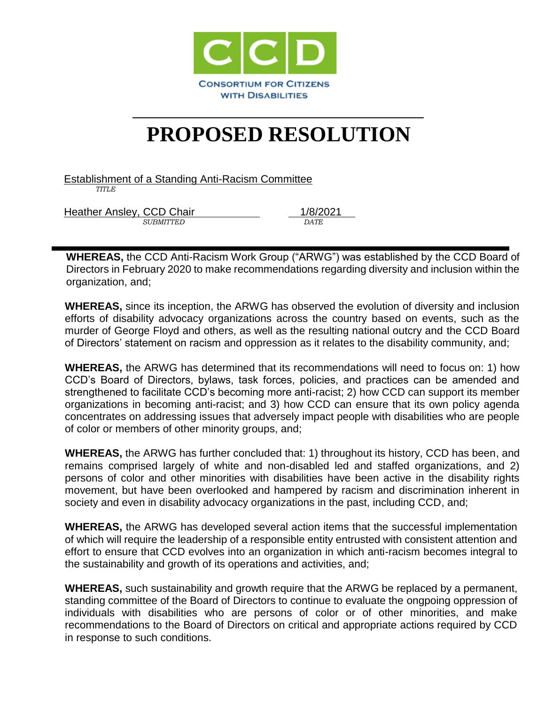

## **PROPOSED RESOLUTION**

Establishment of a Standing Anti-Racism Committee  *TITLE*

Heather Ansley, CCD Chair 1/8/2021 *SUBMITTED DATE*

**WHEREAS,** the CCD Anti-Racism Work Group ("ARWG") was established by the CCD Board of Directors in February 2020 to make recommendations regarding diversity and inclusion within the organization, and;

**WHEREAS,** since its inception, the ARWG has observed the evolution of diversity and inclusion efforts of disability advocacy organizations across the country based on events, such as the murder of George Floyd and others, as well as the resulting national outcry and the CCD Board of Directors' statement on racism and oppression as it relates to the disability community, and;

**WHEREAS,** the ARWG has determined that its recommendations will need to focus on: 1) how CCD's Board of Directors, bylaws, task forces, policies, and practices can be amended and strengthened to facilitate CCD's becoming more anti-racist; 2) how CCD can support its member organizations in becoming anti-racist; and 3) how CCD can ensure that its own policy agenda concentrates on addressing issues that adversely impact people with disabilities who are people of color or members of other minority groups, and;

**WHEREAS,** the ARWG has further concluded that: 1) throughout its history, CCD has been, and remains comprised largely of white and non-disabled led and staffed organizations, and 2) persons of color and other minorities with disabilities have been active in the disability rights movement, but have been overlooked and hampered by racism and discrimination inherent in society and even in disability advocacy organizations in the past, including CCD, and;

**WHEREAS,** the ARWG has developed several action items that the successful implementation of which will require the leadership of a responsible entity entrusted with consistent attention and effort to ensure that CCD evolves into an organization in which anti-racism becomes integral to the sustainability and growth of its operations and activities, and;

**WHEREAS,** such sustainability and growth require that the ARWG be replaced by a permanent, standing committee of the Board of Directors to continue to evaluate the ongpoing oppression of individuals with disabilities who are persons of color or of other minorities, and make recommendations to the Board of Directors on critical and appropriate actions required by CCD in response to such conditions.